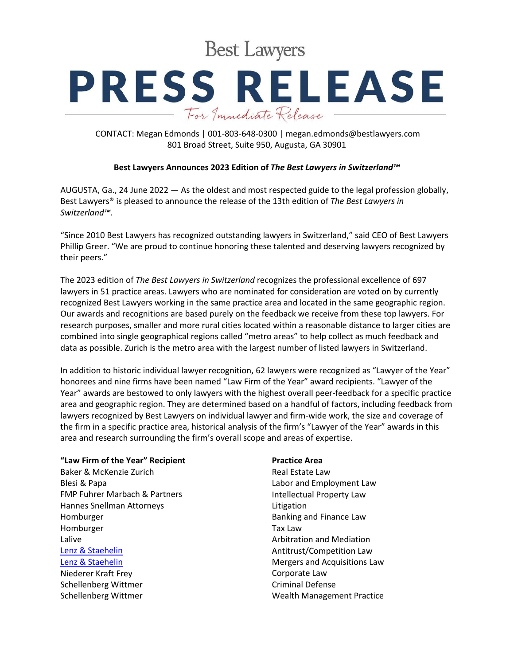**Best Lawyers** 

# **PRESS RELEASE** For Immediate Release

CONTACT: Megan Edmonds | 001-803-648-0300 | megan.edmonds@bestlawyers.com 801 Broad Street, Suite 950, Augusta, GA 30901

### **Best Lawyers Announces 2023 Edition of** *The Best Lawyers in Switzerland™*

AUGUSTA, Ga., 24 June 2022 — As the oldest and most respected guide to the legal profession globally, Best Lawyers® is pleased to announce the release of the 13th edition of *The Best Lawyers in Switzerland™.*

"Since 2010 Best Lawyers has recognized outstanding lawyers in Switzerland," said CEO of Best Lawyers Phillip Greer. "We are proud to continue honoring these talented and deserving lawyers recognized by their peers."

The 2023 edition of *The Best Lawyers in Switzerland* recognizes the professional excellence of 697 lawyers in 51 practice areas. Lawyers who are nominated for consideration are voted on by currently recognized Best Lawyers working in the same practice area and located in the same geographic region. Our awards and recognitions are based purely on the feedback we receive from these top lawyers. For research purposes, smaller and more rural cities located within a reasonable distance to larger cities are combined into single geographical regions called "metro areas" to help collect as much feedback and data as possible. Zurich is the metro area with the largest number of listed lawyers in Switzerland.

In addition to historic individual lawyer recognition, 62 lawyers were recognized as "Lawyer of the Year" honorees and nine firms have been named "Law Firm of the Year" award recipients. "Lawyer of the Year" awards are bestowed to only lawyers with the highest overall peer-feedback for a specific practice area and geographic region. They are determined based on a handful of factors, including feedback from lawyers recognized by Best Lawyers on individual lawyer and firm-wide work, the size and coverage of the firm in a specific practice area, historical analysis of the firm's "Lawyer of the Year" awards in this area and research surrounding the firm's overall scope and areas of expertise.

### **"Law Firm of the Year" Recipient**

Baker & McKenzie Zurich Blesi & Papa FMP Fuhrer Marbach & Partners Hannes Snellman Attorneys Homburger Homburger Lalive [Lenz & Staehelin](https://www.bestlawyers.com/firms/lenz-staehelin/40854/CH) [Lenz & Staehelin](https://www.bestlawyers.com/firms/lenz-staehelin/40854/CH) Niederer Kraft Frey Schellenberg Wittmer Schellenberg Wittmer

#### **Practice Area**

Real Estate Law Labor and Employment Law Intellectual Property Law Litigation Banking and Finance Law Tax Law Arbitration and Mediation Antitrust/Competition Law Mergers and Acquisitions Law Corporate Law Criminal Defense Wealth Management Practice